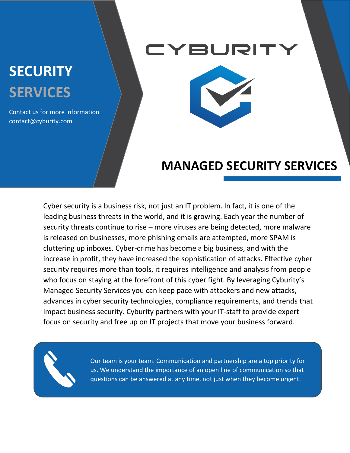# **SECURITY SERVICES**

Contact us for more information contact@cyburity.com

### **BURIT**



### **MANAGED SECURITY SERVICES**

Cyber security is a business risk, not just an IT problem. In fact, it is one of the leading business threats in the world, and it is growing. Each year the number of security threats continue to rise – more viruses are being detected, more malware is released on businesses, more phishing emails are attempted, more SPAM is cluttering up inboxes. Cyber-crime has become a big business, and with the increase in profit, they have increased the sophistication of attacks. Effective cyber security requires more than tools, it requires intelligence and analysis from people who focus on staying at the forefront of this cyber fight. By leveraging Cyburity's Managed Security Services you can keep pace with attackers and new attacks, advances in cyber security technologies, compliance requirements, and trends that impact business security. Cyburity partners with your IT-staff to provide expert focus on security and free up on IT projects that move your business forward.



Our team is your team. Communication and partnership are a top priority for us. We understand the importance of an open line of communication so that questions can be answered at any time, not just when they become urgent.